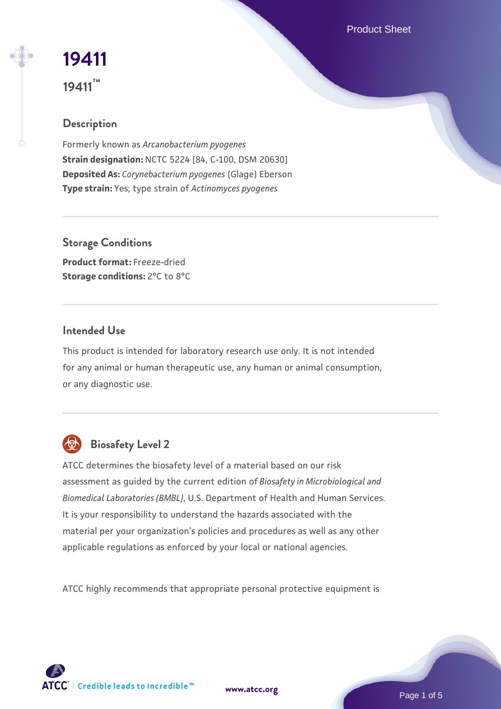Product Sheet

# **[19411](https://www.atcc.org/products/19411)**

**19411™**

# **Description**

Formerly known as *Arcanobacterium pyogenes* **Strain designation:** NCTC 5224 [84, C-100, DSM 20630] **Deposited As:** *Corynebacterium pyogenes* (Glage) Eberson **Type strain:** Yes; type strain of *Actinomyces pyogenes*

**Storage Conditions Product format:** Freeze-dried **Storage conditions: 2°C to 8°C** 

# **Intended Use**

This product is intended for laboratory research use only. It is not intended for any animal or human therapeutic use, any human or animal consumption, or any diagnostic use.



# **Biosafety Level 2**

ATCC determines the biosafety level of a material based on our risk assessment as guided by the current edition of *Biosafety in Microbiological and Biomedical Laboratories (BMBL)*, U.S. Department of Health and Human Services. It is your responsibility to understand the hazards associated with the material per your organization's policies and procedures as well as any other applicable regulations as enforced by your local or national agencies.

ATCC highly recommends that appropriate personal protective equipment is

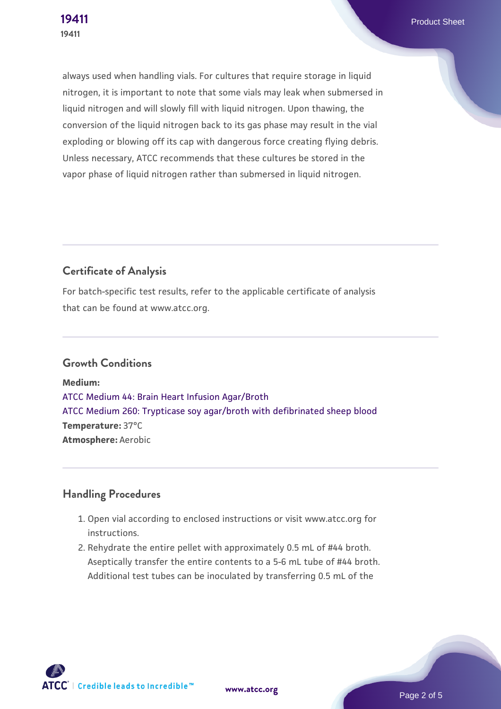always used when handling vials. For cultures that require storage in liquid nitrogen, it is important to note that some vials may leak when submersed in liquid nitrogen and will slowly fill with liquid nitrogen. Upon thawing, the conversion of the liquid nitrogen back to its gas phase may result in the vial exploding or blowing off its cap with dangerous force creating flying debris. Unless necessary, ATCC recommends that these cultures be stored in the vapor phase of liquid nitrogen rather than submersed in liquid nitrogen.

# **Certificate of Analysis**

For batch-specific test results, refer to the applicable certificate of analysis that can be found at www.atcc.org.

## **Growth Conditions**

**Medium:**  [ATCC Medium 44: Brain Heart Infusion Agar/Broth](https://www.atcc.org/-/media/product-assets/documents/microbial-media-formulations/4/4/atcc-medium-44.pdf?rev=ce06ac4e5438493b896cd46c7d875629) [ATCC Medium 260: Trypticase soy agar/broth with defibrinated sheep blood](https://www.atcc.org/-/media/product-assets/documents/microbial-media-formulations/2/6/0/atcc-medium-0260.pdf?rev=5d6614780b1c4acf817a324e2507f087) **Temperature:** 37°C **Atmosphere:** Aerobic

# **Handling Procedures**

- 1. Open vial according to enclosed instructions or visit www.atcc.org for instructions.
- 2. Rehydrate the entire pellet with approximately 0.5 mL of #44 broth. Aseptically transfer the entire contents to a 5-6 mL tube of #44 broth. Additional test tubes can be inoculated by transferring 0.5 mL of the

**ATCC** | Credible leads to Incredible™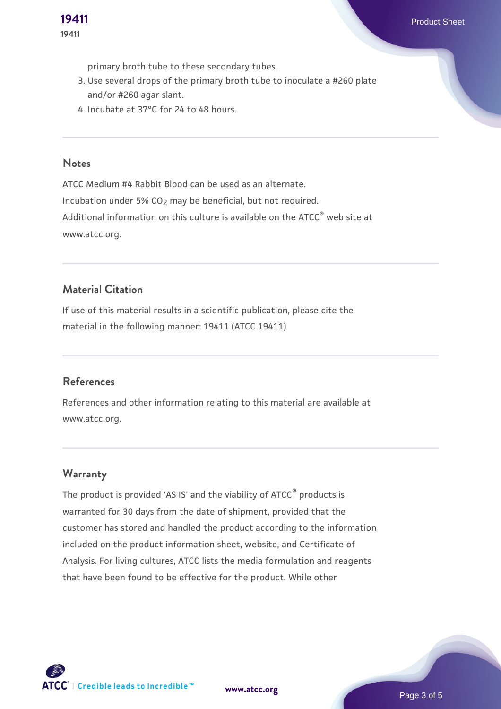primary broth tube to these secondary tubes.

- 3. Use several drops of the primary broth tube to inoculate a #260 plate and/or #260 agar slant.
- 4. Incubate at 37°C for 24 to 48 hours.

#### **Notes**

ATCC Medium #4 Rabbit Blood can be used as an alternate. Incubation under  $5\%$  CO<sub>2</sub> may be beneficial, but not required. Additional information on this culture is available on the ATCC<sup>®</sup> web site at www.atcc.org.

#### **Material Citation**

If use of this material results in a scientific publication, please cite the material in the following manner: 19411 (ATCC 19411)

#### **References**

References and other information relating to this material are available at www.atcc.org.

#### **Warranty**

The product is provided 'AS IS' and the viability of ATCC® products is warranted for 30 days from the date of shipment, provided that the customer has stored and handled the product according to the information included on the product information sheet, website, and Certificate of Analysis. For living cultures, ATCC lists the media formulation and reagents that have been found to be effective for the product. While other

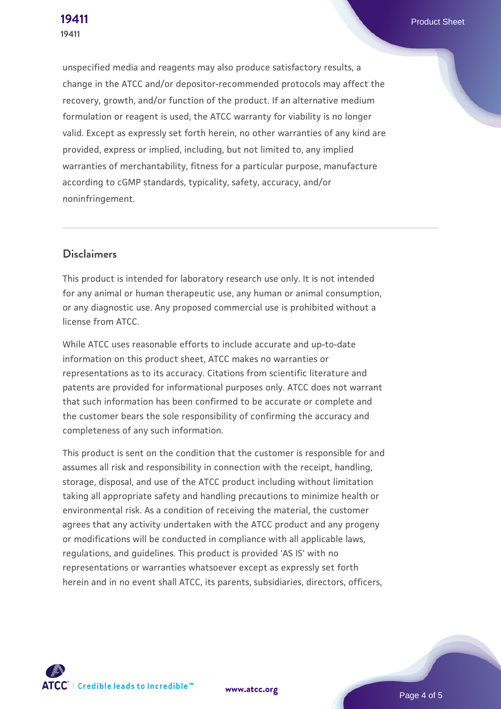unspecified media and reagents may also produce satisfactory results, a change in the ATCC and/or depositor-recommended protocols may affect the recovery, growth, and/or function of the product. If an alternative medium formulation or reagent is used, the ATCC warranty for viability is no longer valid. Except as expressly set forth herein, no other warranties of any kind are provided, express or implied, including, but not limited to, any implied warranties of merchantability, fitness for a particular purpose, manufacture according to cGMP standards, typicality, safety, accuracy, and/or noninfringement.

#### **Disclaimers**

This product is intended for laboratory research use only. It is not intended for any animal or human therapeutic use, any human or animal consumption, or any diagnostic use. Any proposed commercial use is prohibited without a license from ATCC.

While ATCC uses reasonable efforts to include accurate and up-to-date information on this product sheet, ATCC makes no warranties or representations as to its accuracy. Citations from scientific literature and patents are provided for informational purposes only. ATCC does not warrant that such information has been confirmed to be accurate or complete and the customer bears the sole responsibility of confirming the accuracy and completeness of any such information.

This product is sent on the condition that the customer is responsible for and assumes all risk and responsibility in connection with the receipt, handling, storage, disposal, and use of the ATCC product including without limitation taking all appropriate safety and handling precautions to minimize health or environmental risk. As a condition of receiving the material, the customer agrees that any activity undertaken with the ATCC product and any progeny or modifications will be conducted in compliance with all applicable laws, regulations, and guidelines. This product is provided 'AS IS' with no representations or warranties whatsoever except as expressly set forth herein and in no event shall ATCC, its parents, subsidiaries, directors, officers,